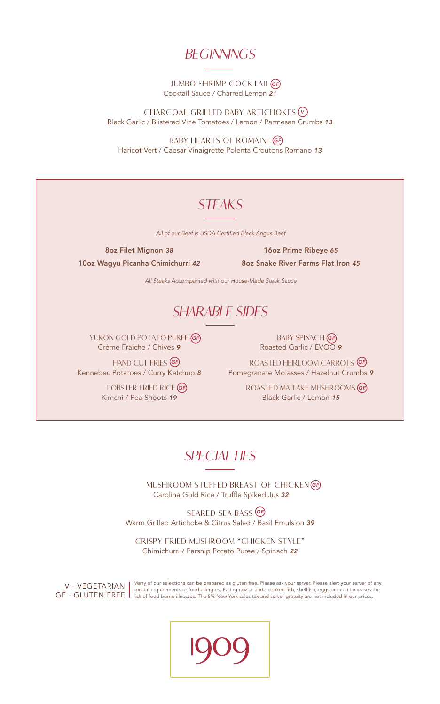#### **BEGINNINGS**

*GF* JUMBO SHRIMP COCKTAIL Cocktail Sauce / Charred Lemon *21* 

*V* CHARCOAL GRILLED BABY ARTICHOKES Black Garlic / Blistered Vine Tomatoes / Lemon / Parmesan Crumbs *13*

BABY HEARTS OF ROMAINE **(**GF Haricot Vert / Caesar Vinaigrette Polenta Croutons Romano *13*

# **STEAKS**

All of our Beef is USDA Certified Black Angus Beef

8oz Filet Mignon *38*

16oz Prime Ribeye *65* 

10oz Wagyu Picanha Chimichurri *42*

8oz Snake River Farms Flat Iron *45*

All Steaks Accompanied with our House-Made Steak Sauce

### SHARABLE SIDES

YUKON GOLD POTATO PUREE *GF* Crème Fraiche / Chives *9* 

HAND CUT FRIES *GF*

 LOBSTER FRIED RICE *GF* Kimchi / Pea Shoots *19* 

BABY SPINACH *GF* Roasted Garlic / EVOO *9*

Kennebec Potatoes / Curry Ketchup *8* Pomegranate Molasses / Hazelnut Crumbs *9* ROASTED HEIRLOOM CARROTS *GF*

> ROASTED MAITAKE MUSHROOMS *GF* Black Garlic / Lemon *15*

# **SPECIALTIES**

 MUSHROOM STUFFED BREAST OF CHICKEN *GF* Carolina Gold Rice / Truffle Spiked Jus *32*

SEARED SEA BASS *GF* Warm Grilled Artichoke & Citrus Salad / Basil Emulsion *39*

CRISPY FRIED MUSHROOM "CHICKEN STYLE" Chimichurri / Parsnip Potato Puree / Spinach *22*

V - VEGETARIAN GF - GLUTEN FREE Many of our selections can be prepared as gluten free. Please ask your server. Please alert your server of any special requirements or food allergies. Eating raw or undercooked fish, shellfish, eggs or meat increases the risk of food borne illnesses. The 8% New York sales tax and server gratuity are not included in our prices.